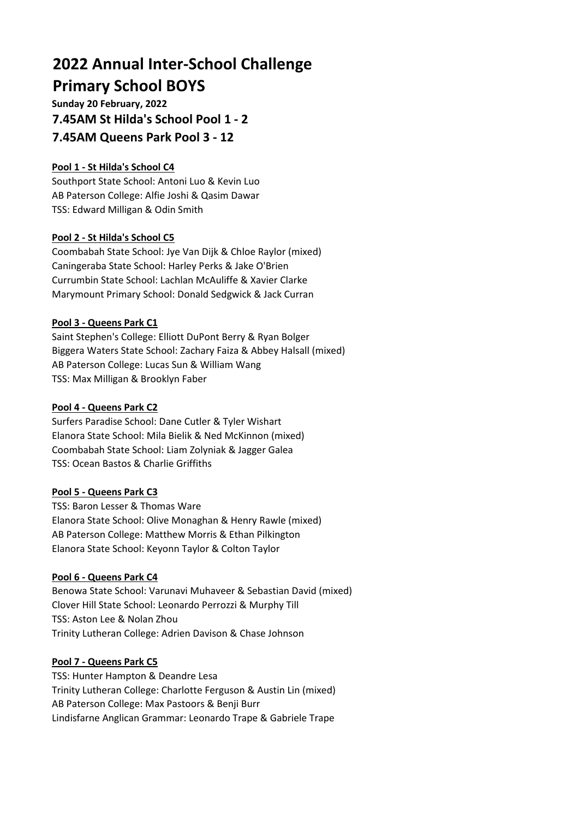# **2022 Annual Inter-School Challenge Primary School BOYS**

**Sunday 20 February, 2022 7.45AM St Hilda's School Pool 1 - 2 7.45AM Queens Park Pool 3 - 12**

# **Pool 1 - St Hilda's School C4**

Southport State School: Antoni Luo & Kevin Luo AB Paterson College: Alfie Joshi & Qasim Dawar TSS: Edward Milligan & Odin Smith

## **Pool 2 - St Hilda's School C5**

Coombabah State School: Jye Van Dijk & Chloe Raylor (mixed) Caningeraba State School: Harley Perks & Jake O'Brien Currumbin State School: Lachlan McAuliffe & Xavier Clarke Marymount Primary School: Donald Sedgwick & Jack Curran

## **Pool 3 - Queens Park C1**

Saint Stephen's College: Elliott DuPont Berry & Ryan Bolger Biggera Waters State School: Zachary Faiza & Abbey Halsall (mixed) AB Paterson College: Lucas Sun & William Wang TSS: Max Milligan & Brooklyn Faber

#### **Pool 4 - Queens Park C2**

Surfers Paradise School: Dane Cutler & Tyler Wishart Elanora State School: Mila Bielik & Ned McKinnon (mixed) Coombabah State School: Liam Zolyniak & Jagger Galea TSS: Ocean Bastos & Charlie Griffiths

#### **Pool 5 - Queens Park C3**

TSS: Baron Lesser & Thomas Ware Elanora State School: Olive Monaghan & Henry Rawle (mixed) AB Paterson College: Matthew Morris & Ethan Pilkington Elanora State School: Keyonn Taylor & Colton Taylor

#### **Pool 6 - Queens Park C4**

Benowa State School: Varunavi Muhaveer & Sebastian David (mixed) Clover Hill State School: Leonardo Perrozzi & Murphy Till TSS: Aston Lee & Nolan Zhou Trinity Lutheran College: Adrien Davison & Chase Johnson

## **Pool 7 - Queens Park C5**

TSS: Hunter Hampton & Deandre Lesa Trinity Lutheran College: Charlotte Ferguson & Austin Lin (mixed) AB Paterson College: Max Pastoors & Benji Burr Lindisfarne Anglican Grammar: Leonardo Trape & Gabriele Trape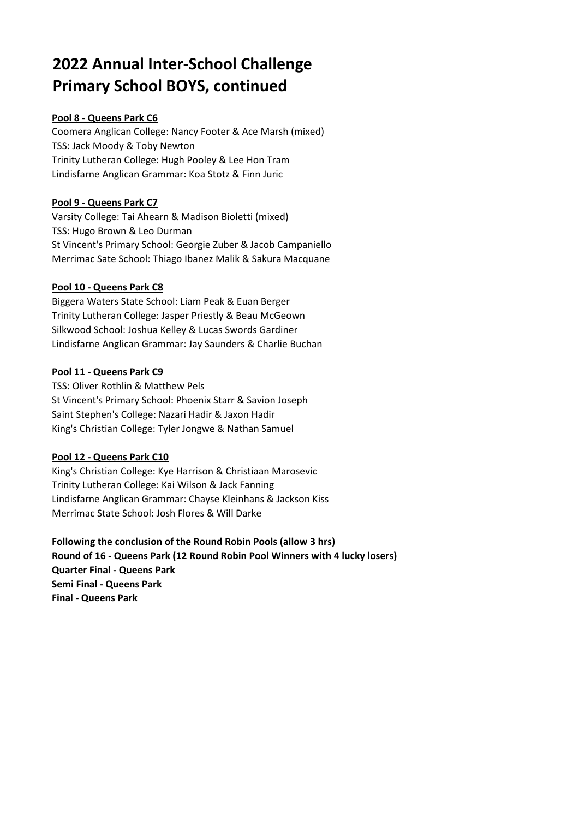# **2022 Annual Inter-School Challenge Primary School BOYS, continued**

# **Pool 8 - Queens Park C6**

Coomera Anglican College: Nancy Footer & Ace Marsh (mixed) TSS: Jack Moody & Toby Newton Trinity Lutheran College: Hugh Pooley & Lee Hon Tram Lindisfarne Anglican Grammar: Koa Stotz & Finn Juric

## **Pool 9 - Queens Park C7**

Varsity College: Tai Ahearn & Madison Bioletti (mixed) TSS: Hugo Brown & Leo Durman St Vincent's Primary School: Georgie Zuber & Jacob Campaniello Merrimac Sate School: Thiago Ibanez Malik & Sakura Macquane

## **Pool 10 - Queens Park C8**

Biggera Waters State School: Liam Peak & Euan Berger Trinity Lutheran College: Jasper Priestly & Beau McGeown Silkwood School: Joshua Kelley & Lucas Swords Gardiner Lindisfarne Anglican Grammar: Jay Saunders & Charlie Buchan

## **Pool 11 - Queens Park C9**

TSS: Oliver Rothlin & Matthew Pels St Vincent's Primary School: Phoenix Starr & Savion Joseph Saint Stephen's College: Nazari Hadir & Jaxon Hadir King's Christian College: Tyler Jongwe & Nathan Samuel

## **Pool 12 - Queens Park C10**

King's Christian College: Kye Harrison & Christiaan Marosevic Trinity Lutheran College: Kai Wilson & Jack Fanning Lindisfarne Anglican Grammar: Chayse Kleinhans & Jackson Kiss Merrimac State School: Josh Flores & Will Darke

**Following the conclusion of the Round Robin Pools (allow 3 hrs) Round of 16 - Queens Park (12 Round Robin Pool Winners with 4 lucky losers) Quarter Final - Queens Park Semi Final - Queens Park Final - Queens Park**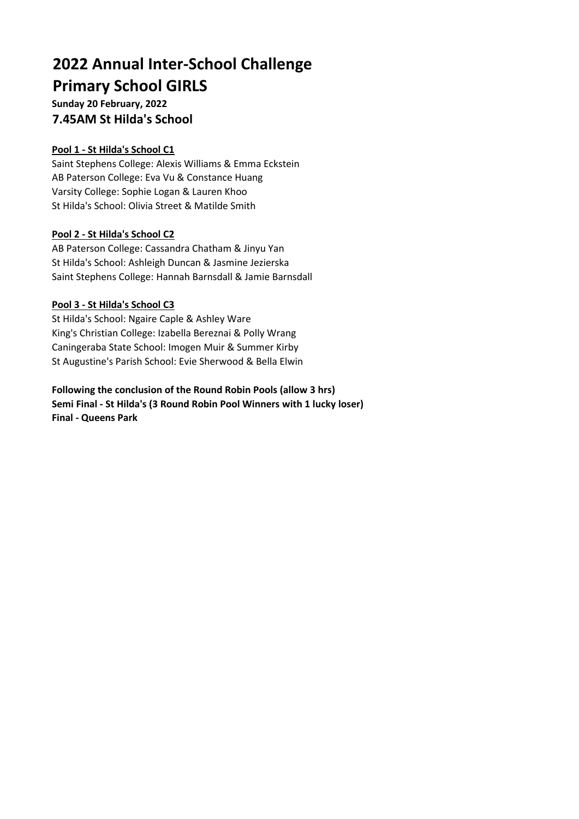# **2022 Annual Inter-School Challenge Primary School GIRLS**

**Sunday 20 February, 2022 7.45AM St Hilda's School**

## **Pool 1 - St Hilda's School C1**

Saint Stephens College: Alexis Williams & Emma Eckstein AB Paterson College: Eva Vu & Constance Huang Varsity College: Sophie Logan & Lauren Khoo St Hilda's School: Olivia Street & Matilde Smith

## **Pool 2 - St Hilda's School C2**

AB Paterson College: Cassandra Chatham & Jinyu Yan St Hilda's School: Ashleigh Duncan & Jasmine Jezierska Saint Stephens College: Hannah Barnsdall & Jamie Barnsdall

## **Pool 3 - St Hilda's School C3**

St Hilda's School: Ngaire Caple & Ashley Ware King's Christian College: Izabella Bereznai & Polly Wrang Caningeraba State School: Imogen Muir & Summer Kirby St Augustine's Parish School: Evie Sherwood & Bella Elwin

**Following the conclusion of the Round Robin Pools (allow 3 hrs) Semi Final - St Hilda's (3 Round Robin Pool Winners with 1 lucky loser) Final - Queens Park**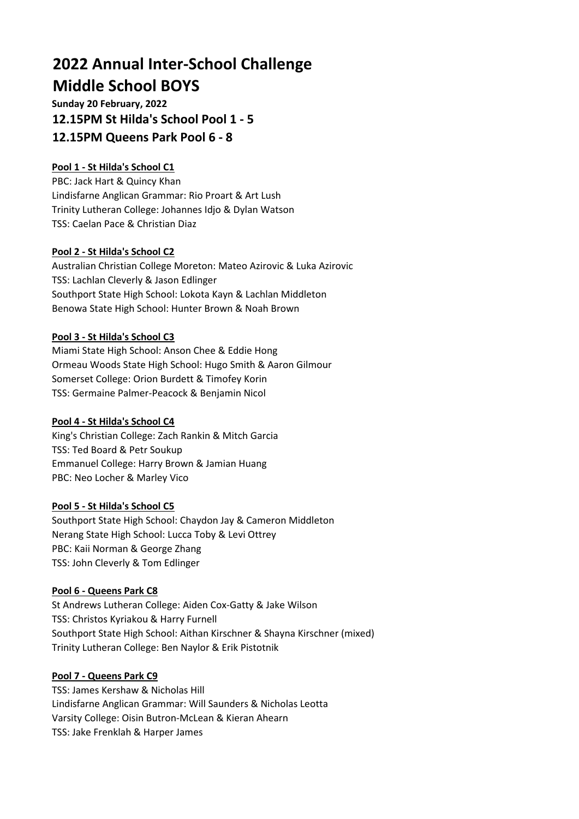# **2022 Annual Inter-School Challenge Middle School BOYS**

**Sunday 20 February, 2022 12.15PM St Hilda's School Pool 1 - 5 12.15PM Queens Park Pool 6 - 8**

# **Pool 1 - St Hilda's School C1**

PBC: Jack Hart & Quincy Khan Lindisfarne Anglican Grammar: Rio Proart & Art Lush Trinity Lutheran College: Johannes Idjo & Dylan Watson TSS: Caelan Pace & Christian Diaz

## **Pool 2 - St Hilda's School C2**

Australian Christian College Moreton: Mateo Azirovic & Luka Azirovic TSS: Lachlan Cleverly & Jason Edlinger Southport State High School: Lokota Kayn & Lachlan Middleton Benowa State High School: Hunter Brown & Noah Brown

#### **Pool 3 - St Hilda's School C3**

Miami State High School: Anson Chee & Eddie Hong Ormeau Woods State High School: Hugo Smith & Aaron Gilmour Somerset College: Orion Burdett & Timofey Korin TSS: Germaine Palmer-Peacock & Benjamin Nicol

## **Pool 4 - St Hilda's School C4**

King's Christian College: Zach Rankin & Mitch Garcia TSS: Ted Board & Petr Soukup Emmanuel College: Harry Brown & Jamian Huang PBC: Neo Locher & Marley Vico

#### **Pool 5 - St Hilda's School C5**

Southport State High School: Chaydon Jay & Cameron Middleton Nerang State High School: Lucca Toby & Levi Ottrey PBC: Kaii Norman & George Zhang TSS: John Cleverly & Tom Edlinger

#### **Pool 6 - Queens Park C8**

St Andrews Lutheran College: Aiden Cox-Gatty & Jake Wilson TSS: Christos Kyriakou & Harry Furnell Southport State High School: Aithan Kirschner & Shayna Kirschner (mixed) Trinity Lutheran College: Ben Naylor & Erik Pistotnik

#### **Pool 7 - Queens Park C9**

TSS: James Kershaw & Nicholas Hill Lindisfarne Anglican Grammar: Will Saunders & Nicholas Leotta Varsity College: Oisin Butron-McLean & Kieran Ahearn TSS: Jake Frenklah & Harper James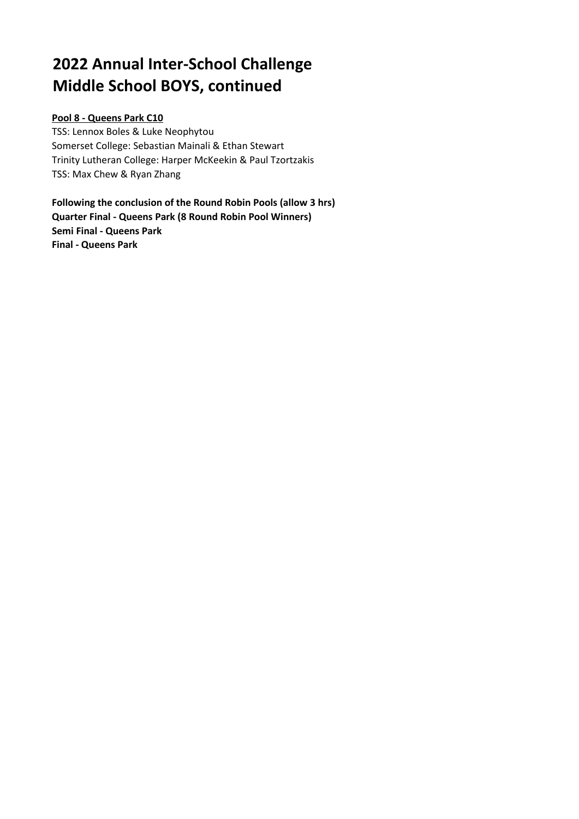# **2022 Annual Inter-School Challenge Middle School BOYS, continued**

## **Pool 8 - Queens Park C10**

TSS: Lennox Boles & Luke Neophytou Somerset College: Sebastian Mainali & Ethan Stewart Trinity Lutheran College: Harper McKeekin & Paul Tzortzakis TSS: Max Chew & Ryan Zhang

**Following the conclusion of the Round Robin Pools (allow 3 hrs) Quarter Final - Queens Park (8 Round Robin Pool Winners) Semi Final - Queens Park Final - Queens Park**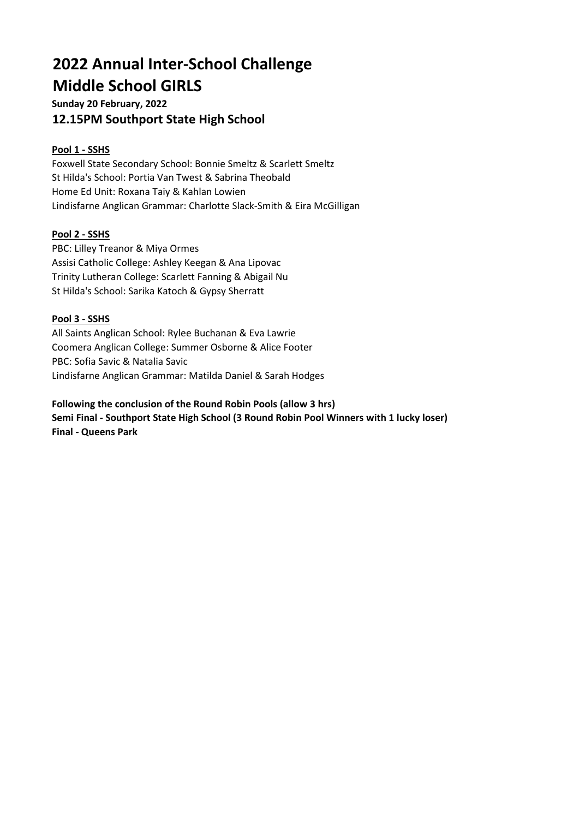# **2022 Annual Inter-School Challenge Middle School GIRLS**

**Sunday 20 February, 2022 12.15PM Southport State High School**

# **Pool 1 - SSHS**

Foxwell State Secondary School: Bonnie Smeltz & Scarlett Smeltz St Hilda's School: Portia Van Twest & Sabrina Theobald Home Ed Unit: Roxana Taiy & Kahlan Lowien Lindisfarne Anglican Grammar: Charlotte Slack-Smith & Eira McGilligan

# **Pool 2 - SSHS**

PBC: Lilley Treanor & Miya Ormes Assisi Catholic College: Ashley Keegan & Ana Lipovac Trinity Lutheran College: Scarlett Fanning & Abigail Nu St Hilda's School: Sarika Katoch & Gypsy Sherratt

## **Pool 3 - SSHS**

All Saints Anglican School: Rylee Buchanan & Eva Lawrie Coomera Anglican College: Summer Osborne & Alice Footer PBC: Sofia Savic & Natalia Savic Lindisfarne Anglican Grammar: Matilda Daniel & Sarah Hodges

**Following the conclusion of the Round Robin Pools (allow 3 hrs) Semi Final - Southport State High School (3 Round Robin Pool Winners with 1 lucky loser) Final - Queens Park**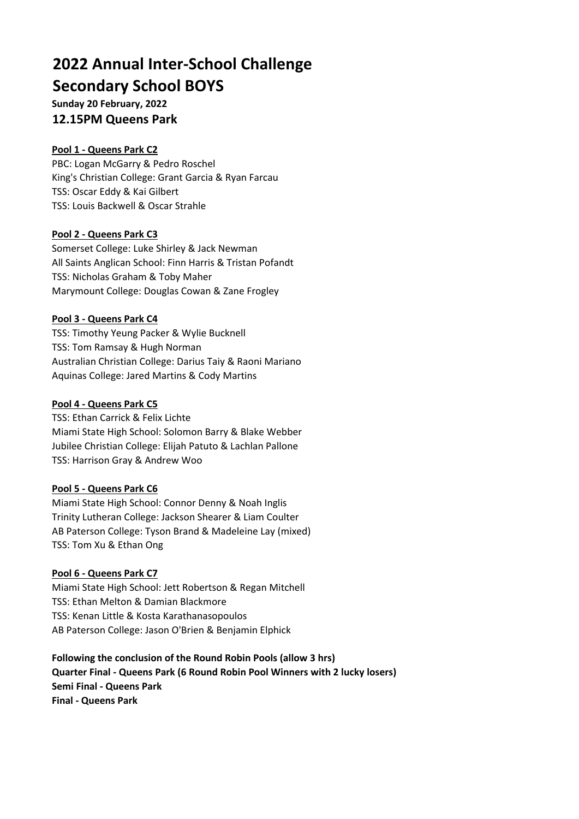# **2022 Annual Inter-School Challenge Secondary School BOYS**

**Sunday 20 February, 2022 12.15PM Queens Park**

## **Pool 1 - Queens Park C2**

PBC: Logan McGarry & Pedro Roschel King's Christian College: Grant Garcia & Ryan Farcau TSS: Oscar Eddy & Kai Gilbert TSS: Louis Backwell & Oscar Strahle

## **Pool 2 - Queens Park C3**

Somerset College: Luke Shirley & Jack Newman All Saints Anglican School: Finn Harris & Tristan Pofandt TSS: Nicholas Graham & Toby Maher Marymount College: Douglas Cowan & Zane Frogley

## **Pool 3 - Queens Park C4**

TSS: Timothy Yeung Packer & Wylie Bucknell TSS: Tom Ramsay & Hugh Norman Australian Christian College: Darius Taiy & Raoni Mariano Aquinas College: Jared Martins & Cody Martins

## **Pool 4 - Queens Park C5**

TSS: Ethan Carrick & Felix Lichte Miami State High School: Solomon Barry & Blake Webber Jubilee Christian College: Elijah Patuto & Lachlan Pallone TSS: Harrison Gray & Andrew Woo

## **Pool 5 - Queens Park C6**

Miami State High School: Connor Denny & Noah Inglis Trinity Lutheran College: Jackson Shearer & Liam Coulter AB Paterson College: Tyson Brand & Madeleine Lay (mixed) TSS: Tom Xu & Ethan Ong

## **Pool 6 - Queens Park C7**

Miami State High School: Jett Robertson & Regan Mitchell TSS: Ethan Melton & Damian Blackmore TSS: Kenan Little & Kosta Karathanasopoulos AB Paterson College: Jason O'Brien & Benjamin Elphick

**Following the conclusion of the Round Robin Pools (allow 3 hrs) Quarter Final - Queens Park (6 Round Robin Pool Winners with 2 lucky losers) Semi Final - Queens Park Final - Queens Park**